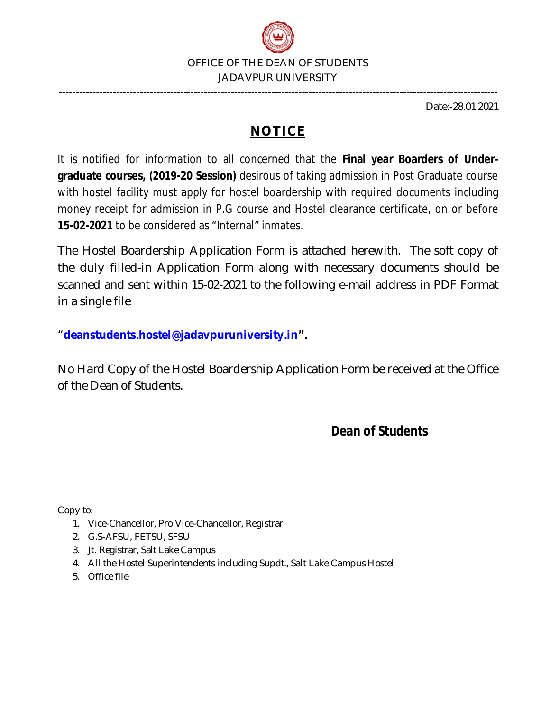

Date:-28.01.2021

## **NOTICE**

----------------------------------------------------------------------------------------------------------------------------------

It is notified for information to all concerned that the **Final year Boarders of Undergraduate courses, (2019-20 Session)** desirous of taking admission in Post Graduate course with hostel facility must apply for hostel boardership with required documents including money receipt for admission in P.G course and Hostel clearance certificate, on or before **15-02-2021** to be considered as "Internal" inmates.

The Hostel Boardership Application Form is attached herewith. The soft copy of the duly filled-in Application Form along with necessary documents should be scanned and sent within 15-02-2021 to the following e-mail address in PDF Format in a single file

"**deanstudents.hostel@jadavpuruniversity.in".**

No Hard Copy of the Hostel Boardership Application Form be received at the Office of the Dean of Students.

## **Dean of Students**

Copy to:

- 1. Vice-Chancellor, Pro Vice-Chancellor, Registrar
- 2. G.S-AFSU, FETSU, SFSU
- 3. Jt. Registrar, Salt Lake Campus
- 4. All the Hostel Superintendents including Supdt., Salt Lake Campus Hostel
- 5. Office file